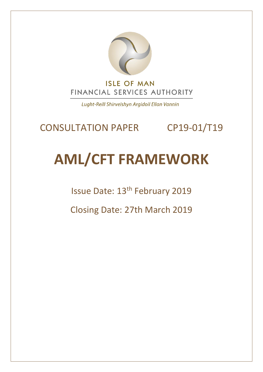

Lught-Reill Shirveishyn Argidoil Ellan Vannin

## CONSULTATION PAPER CP19-01/T19

# **AML/CFT FRAMEWORK**

Issue Date: 13<sup>th</sup> February 2019

Closing Date: 27th March 2019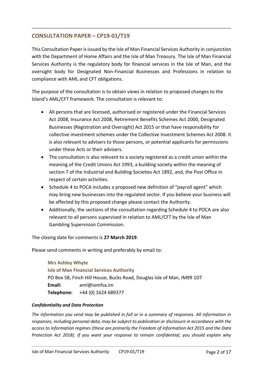### **CONSULTATION PAPER – CP19-01/T19**

This Consultation Paper is issued by the Isle of Man Financial Services Authority in conjunction with the Department of Home Affairs and the Isle of Man Treasury. The Isle of Man Financial Services Authority is the regulatory body for financial services in the Isle of Man, and the oversight body for Designated Non-Financial Businesses and Professions in relation to compliance with AML and CFT obligations.

The purpose of the consultation is to obtain views in relation to proposed changes to the Island's AML/CFT framework. The consultation is relevant to:

- All persons that are licensed, authorised or registered under the Financial Services Act 2008, Insurance Act 2008, Retirement Benefits Schemes Act 2000, Designated Businesses (Registration and Oversight) Act 2015 or that have responsibility for collective investment schemes under the Collective Investment Schemes Act 2008. It is also relevant to advisers to those persons, or potential applicants for permissions under these Acts or their advisers.
- The consultation is also relevant to a society registered as a credit union within the meaning of the Credit Unions Act 1993, a building society within the meaning of section 7 of the Industrial and Building Societies Act 1892, and, the Post Office in respect of certain activities.
- Schedule 4 to POCA includes a proposed new definition of "payroll agent" which may bring new businesses into the regulated sector. If you believe your business will be affected by this proposed change please contact the Authority.
- Additionally, the sections of the consultation regarding Schedule 4 to POCA are also relevant to all persons supervised in relation to AML/CFT by the Isle of Man Gambling Supervision Commission.

The closing date for comments is **27 March 2019**.

Please send comments in writing and preferably by email to:

## **Mrs Ashley Whyte Isle of Man Financial Services Authority** PO Box 58, Finch Hill House, Bucks Road, Douglas Isle of Man, IM99 1DT **Email:** aml@iomfsa.im **Telephone:** +44 (0) 1624 689377

#### *Confidentiality and Data Protection*

*The information you send may be published in full or in a summary of responses. All information in responses, including personal data, may be subject to publication or disclosure in accordance with the access to information regimes (these are primarily the Freedom of Information Act 2015 and the Data Protection Act 2018). If you want your response to remain confidential, you should explain why*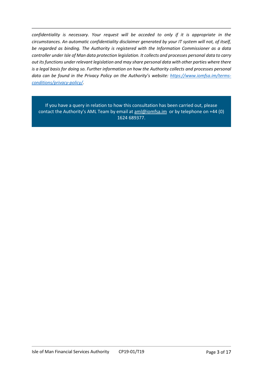*confidentiality is necessary. Your request will be acceded to only if it is appropriate in the circumstances. An automatic confidentiality disclaimer generated by your IT system will not, of itself, be regarded as binding. The Authority is registered with the Information Commissioner as a data controller under Isle of Man data protection legislation. It collects and processes personal data to carry out its functions under relevant legislation and may share personal data with other parties where there is a legal basis for doing so. Further information on how the Authority collects and processes personal data can be found in the Privacy Policy on the Authority's website: [https://www.iomfsa.im/terms](https://www.iomfsa.im/terms-conditions/privacy-policy/)[conditions/privacy-policy/.](https://www.iomfsa.im/terms-conditions/privacy-policy/)*

If you have a query in relation to how this consultation has been carried out, please contact the Authority's AML Team by email at [aml@iomfsa.im](mailto:aml@iomfsa.im) or by telephone on +44 (0) 1624 689377.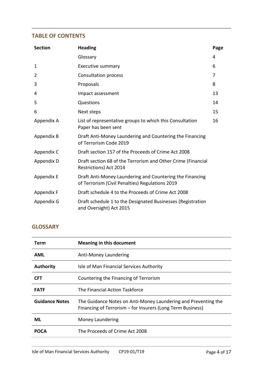#### **TABLE OF CONTENTS**

| <b>Section</b> | <b>Heading</b>                                                                                              | Page |
|----------------|-------------------------------------------------------------------------------------------------------------|------|
|                | Glossary                                                                                                    | 4    |
| 1              | <b>Executive summary</b>                                                                                    | 6    |
| 2              | Consultation process                                                                                        | 7    |
| 3              | Proposals                                                                                                   | 8    |
| 4              | Impact assessment                                                                                           | 13   |
| 5              | Questions                                                                                                   | 14   |
| 6              | Next steps                                                                                                  | 15   |
| Appendix A     | List of representative groups to which this Consultation<br>Paper has been sent                             | 16   |
| Appendix B     | Draft Anti-Money Laundering and Countering the Financing<br>of Terrorism Code 2019                          |      |
| Appendix C     | Draft section 157 of the Proceeds of Crime Act 2008                                                         |      |
| Appendix D     | Draft section 68 of the Terrorism and Other Crime (Financial<br>Restrictions) Act 2014                      |      |
| Appendix E     | Draft Anti-Money Laundering and Countering the Financing<br>of Terrorism (Civil Penalties) Regulations 2019 |      |
| Appendix F     | Draft schedule 4 to the Proceeds of Crime Act 2008                                                          |      |
| Appendix G     | Draft schedule 1 to the Designated Businesses (Registration<br>and Oversight) Act 2015                      |      |

## **GLOSSARY**

| Term                  | <b>Meaning in this document</b>                                                                                              |
|-----------------------|------------------------------------------------------------------------------------------------------------------------------|
| <b>AML</b>            | Anti-Money Laundering                                                                                                        |
| <b>Authority</b>      | Isle of Man Financial Services Authority                                                                                     |
| <b>CFT</b>            | Countering the Financing of Terrorism                                                                                        |
| <b>FATF</b>           | The Financial Action Taskforce                                                                                               |
| <b>Guidance Notes</b> | The Guidance Notes on Anti-Money Laundering and Preventing the<br>Financing of Terrorism - for Insurers (Long Term Business) |
| ML                    | Money Laundering                                                                                                             |
| <b>POCA</b>           | The Proceeds of Crime Act 2008                                                                                               |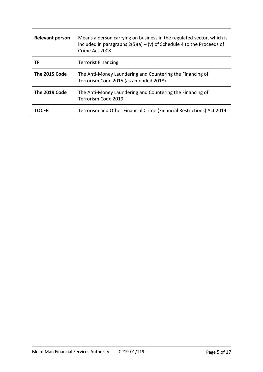| <b>Relevant person</b> | Means a person carrying on business in the regulated sector, which is<br>included in paragraphs $2(5)(a) - (v)$ of Schedule 4 to the Proceeds of<br>Crime Act 2008. |
|------------------------|---------------------------------------------------------------------------------------------------------------------------------------------------------------------|
| ΤF                     | <b>Terrorist Financing</b>                                                                                                                                          |
| The 2015 Code          | The Anti-Money Laundering and Countering the Financing of<br>Terrorism Code 2015 (as amended 2018)                                                                  |
| The 2019 Code          | The Anti-Money Laundering and Countering the Financing of<br>Terrorism Code 2019                                                                                    |
| TOCFR                  | Terrorism and Other Financial Crime (Financial Restrictions) Act 2014                                                                                               |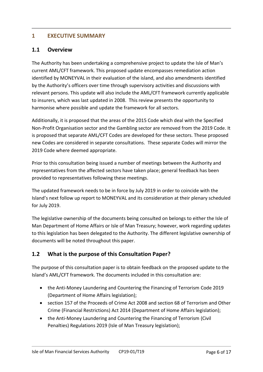#### **1 EXECUTIVE SUMMARY**

#### **1.1 Overview**

The Authority has been undertaking a comprehensive project to update the Isle of Man's current AML/CFT framework. This proposed update encompasses remediation action identified by MONEYVAL in their evaluation of the island, and also amendments identified by the Authority's officers over time through supervisory activities and discussions with relevant persons. This update will also include the AML/CFT framework currently applicable to insurers, which was last updated in 2008. This review presents the opportunity to harmonise where possible and update the framework for all sectors.

Additionally, it is proposed that the areas of the 2015 Code which deal with the Specified Non-Profit Organisation sector and the Gambling sector are removed from the 2019 Code. It is proposed that separate AML/CFT Codes are developed for these sectors. These proposed new Codes are considered in separate consultations. These separate Codes will mirror the 2019 Code where deemed appropriate.

Prior to this consultation being issued a number of meetings between the Authority and representatives from the affected sectors have taken place; general feedback has been provided to representatives following these meetings.

The updated framework needs to be in force by July 2019 in order to coincide with the Island's next follow up report to MONEYVAL and its consideration at their plenary scheduled for July 2019.

The legislative ownership of the documents being consulted on belongs to either the Isle of Man Department of Home Affairs or Isle of Man Treasury; however, work regarding updates to this legislation has been delegated to the Authority. The different legislative ownership of documents will be noted throughout this paper.

#### **1.2 What is the purpose of this Consultation Paper?**

The purpose of this consultation paper is to obtain feedback on the proposed update to the Island's AML/CFT framework. The documents included in this consultation are:

- the Anti-Money Laundering and Countering the Financing of Terrorism Code 2019 (Department of Home Affairs legislation);
- section 157 of the Proceeds of Crime Act 2008 and section 68 of Terrorism and Other Crime (Financial Restrictions) Act 2014 (Department of Home Affairs legislation);
- the Anti-Money Laundering and Countering the Financing of Terrorism (Civil Penalties) Regulations 2019 (Isle of Man Treasury legislation);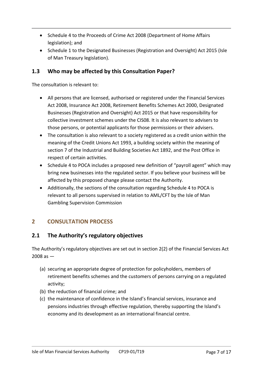- Schedule 4 to the Proceeds of Crime Act 2008 (Department of Home Affairs legislation); and
- Schedule 1 to the Designated Businesses (Registration and Oversight) Act 2015 (Isle of Man Treasury legislation).

## **1.3 Who may be affected by this Consultation Paper?**

The consultation is relevant to:

- All persons that are licensed, authorised or registered under the Financial Services Act 2008, Insurance Act 2008, Retirement Benefits Schemes Act 2000, Designated Businesses (Registration and Oversight) Act 2015 or that have responsibility for collective investment schemes under the CIS08. It is also relevant to advisers to those persons, or potential applicants for those permissions or their advisers.
- The consultation is also relevant to a society registered as a credit union within the meaning of the Credit Unions Act 1993, a building society within the meaning of section 7 of the Industrial and Building Societies Act 1892, and the Post Office in respect of certain activities.
- Schedule 4 to POCA includes a proposed new definition of "payroll agent" which may bring new businesses into the regulated sector. If you believe your business will be affected by this proposed change please contact the Authority.
- Additionally, the sections of the consultation regarding Schedule 4 to POCA is relevant to all persons supervised in relation to AML/CFT by the Isle of Man Gambling Supervision Commission

## **2 CONSULTATION PROCESS**

#### **2.1 The Authority's regulatory objectives**

The Authority's regulatory objectives are set out in section 2(2) of the Financial Services Act  $2008$  as  $-$ 

- (a) securing an appropriate degree of protection for policyholders, members of retirement benefits schemes and the customers of persons carrying on a regulated activity;
- (b) the reduction of financial crime; and
- (c) the maintenance of confidence in the Island's financial services, insurance and pensions industries through effective regulation, thereby supporting the Island's economy and its development as an international financial centre.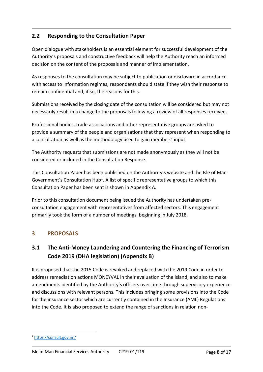## **2.2 Responding to the Consultation Paper**

Open dialogue with stakeholders is an essential element for successful development of the Authority's proposals and constructive feedback will help the Authority reach an informed decision on the content of the proposals and manner of implementation.

As responses to the consultation may be subject to publication or disclosure in accordance with access to information regimes, respondents should state if they wish their response to remain confidential and, if so, the reasons for this.

Submissions received by the closing date of the consultation will be considered but may not necessarily result in a change to the proposals following a review of all responses received.

Professional bodies, trade associations and other representative groups are asked to provide a summary of the people and organisations that they represent when responding to a consultation as well as the methodology used to gain members' input.

The Authority requests that submissions are not made anonymously as they will not be considered or included in the Consultation Response.

This Consultation Paper has been published on the Authority's website and the Isle of Man Government's Consultation Hub<sup>1</sup>. A list of specific representative groups to which this Consultation Paper has been sent is shown in Appendix A.

Prior to this consultation document being issued the Authority has undertaken preconsultation engagement with representatives from affected sectors. This engagement primarily took the form of a number of meetings, beginning in July 2018.

## **3 PROPOSALS**

## **3.1 The Anti-Money Laundering and Countering the Financing of Terrorism Code 2019 (DHA legislation) (Appendix B)**

It is proposed that the 2015 Code is revoked and replaced with the 2019 Code in order to address remediation actions MONEYVAL in their evaluation of the island, and also to make amendments identified by the Authority's officers over time through supervisory experience and discussions with relevant persons. This includes bringing some provisions into the Code for the insurance sector which are currently contained in the Insurance (AML) Regulations into the Code. It is also proposed to extend the range of sanctions in relation non-

1

<sup>1</sup> <https://consult.gov.im/>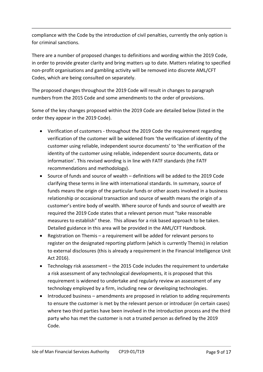compliance with the Code by the introduction of civil penalties, currently the only option is for criminal sanctions.

There are a number of proposed changes to definitions and wording within the 2019 Code, in order to provide greater clarity and bring matters up to date. Matters relating to specified non-profit organisations and gambling activity will be removed into discrete AML/CFT Codes, which are being consulted on separately.

The proposed changes throughout the 2019 Code will result in changes to paragraph numbers from the 2015 Code and some amendments to the order of provisions.

Some of the key changes proposed within the 2019 Code are detailed below (listed in the order they appear in the 2019 Code).

- Verification of customers throughout the 2019 Code the requirement regarding verification of the customer will be widened from 'the verification of identity of the customer using reliable, independent source documents' to 'the verification of the identity of the customer using reliable, independent source documents, data or information'. This revised wording is in line with FATF standards (the FATF recommendations and methodology).
- Source of funds and source of wealth definitions will be added to the 2019 Code clarifying these terms in line with international standards. In summary, source of funds means the origin of the particular funds or other assets involved in a business relationship or occasional transaction and source of wealth means the origin of a customer's entire body of wealth. Where source of funds and source of wealth are required the 2019 Code states that a relevant person must "take reasonable measures to establish" these. This allows for a risk based approach to be taken. Detailed guidance in this area will be provided in the AML/CFT Handbook.
- Registration on Themis a requirement will be added for relevant persons to register on the designated reporting platform (which is currently Themis) in relation to external disclosures (this is already a requirement in the Financial Intelligence Unit Act 2016).
- Technology risk assessment the 2015 Code includes the requirement to undertake a risk assessment of any technological developments, it is proposed that this requirement is widened to undertake and regularly review an assessment of any technology employed by a firm, including new or developing technologies.
- Introduced business amendments are proposed in relation to adding requirements to ensure the customer is met by the relevant person or introducer (in certain cases) where two third parties have been involved in the introduction process and the third party who has met the customer is not a trusted person as defined by the 2019 Code.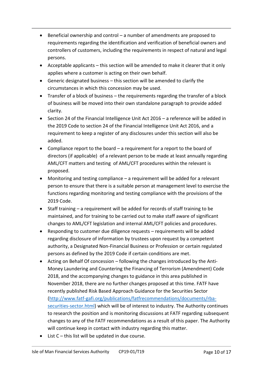- **Beneficial ownership and control a number of amendments are proposed to** requirements regarding the identification and verification of beneficial owners and controllers of customers, including the requirements in respect of natural and legal persons.
- Acceptable applicants this section will be amended to make it clearer that it only applies where a customer is acting on their own behalf.
- Generic designated business this section will be amended to clarify the circumstances in which this concession may be used.
- Transfer of a block of business the requirements regarding the transfer of a block of business will be moved into their own standalone paragraph to provide added clarity.
- $\bullet$  Section 24 of the Financial Intelligence Unit Act 2016 a reference will be added in the 2019 Code to section 24 of the Financial Intelligence Unit Act 2016, and a requirement to keep a register of any disclosures under this section will also be added.
- Compliance report to the board a requirement for a report to the board of directors (if applicable) of a relevant person to be made at least annually regarding AML/CFT matters and testing of AML/CFT procedures within the relevant is proposed.
- Monitoring and testing compliance a requirement will be added for a relevant person to ensure that there is a suitable person at management level to exercise the functions regarding monitoring and testing compliance with the provisions of the 2019 Code.
- Staff training a requirement will be added for records of staff training to be maintained, and for training to be carried out to make staff aware of significant changes to AML/CFT legislation and internal AML/CFT policies and procedures.
- Responding to customer due diligence requests requirements will be added regarding disclosure of information by trustees upon request by a competent authority, a Designated Non-Financial Business or Profession or certain regulated persons as defined by the 2019 Code if certain conditions are met.
- Acting on Behalf Of concession following the changes introduced by the Anti-Money Laundering and Countering the Financing of Terrorism (Amendment) Code 2018, and the accompanying changes to guidance in this area published in November 2018, there are no further changes proposed at this time. FATF have recently published Risk Based Approach Guidance for the Securities Sector [\(http://www.fatf-gafi.org/publications/fatfrecommendations/documents/rba](http://www.fatf-gafi.org/publications/fatfrecommendations/documents/rba-securities-sector.html)[securities-sector.html\)](http://www.fatf-gafi.org/publications/fatfrecommendations/documents/rba-securities-sector.html) which will be of interest to industry. The Authority continues to research the position and is monitoring discussions at FATF regarding subsequent changes to any of the FATF recommendations as a result of this paper. The Authority will continue keep in contact with industry regarding this matter.
- List C this list will be updated in due course.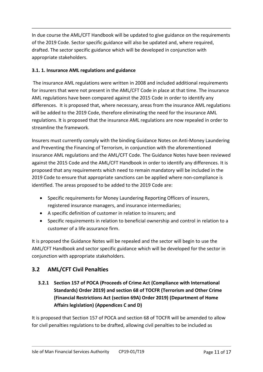In due course the AML/CFT Handbook will be updated to give guidance on the requirements of the 2019 Code. Sector specific guidance will also be updated and, where required, drafted. The sector specific guidance which will be developed in conjunction with appropriate stakeholders.

#### **3.1. 1. Insurance AML regulations and guidance**

The insurance AML regulations were written in 2008 and included additional requirements for insurers that were not present in the AML/CFT Code in place at that time. The insurance AML regulations have been compared against the 2015 Code in order to identify any differences. It is proposed that, where necessary, areas from the insurance AML regulations will be added to the 2019 Code, therefore eliminating the need for the insurance AML regulations. It is proposed that the insurance AML regulations are now repealed in order to streamline the framework.

Insurers must currently comply with the binding Guidance Notes on Anti-Money Laundering and Preventing the Financing of Terrorism, in conjunction with the aforementioned insurance AML regulations and the AML/CFT Code. The Guidance Notes have been reviewed against the 2015 Code and the AML/CFT Handbook in order to identify any differences. It is proposed that any requirements which need to remain mandatory will be included in the 2019 Code to ensure that appropriate sanctions can be applied where non-compliance is identified. The areas proposed to be added to the 2019 Code are:

- Specific requirements for Money Laundering Reporting Officers of insurers, registered insurance managers, and insurance intermediaries;
- A specific definition of customer in relation to insurers; and
- Specific requirements in relation to beneficial ownership and control in relation to a customer of a life assurance firm.

It is proposed the Guidance Notes will be repealed and the sector will begin to use the AML/CFT Handbook and sector specific guidance which will be developed for the sector in conjunction with appropriate stakeholders.

## **3.2 AML/CFT Civil Penalties**

**3.2.1 Section 157 of POCA (Proceeds of Crime Act (Compliance with International Standards) Order 2019) and section 68 of TOCFR (Terrorism and Other Crime (Financial Restrictions Act (section 69A) Order 2019) (Department of Home Affairs legislation) (Appendices C and D)**

It is proposed that Section 157 of POCA and section 68 of TOCFR will be amended to allow for civil penalties regulations to be drafted, allowing civil penalties to be included as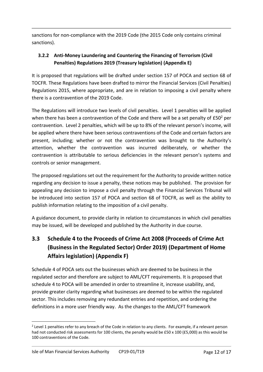sanctions for non-compliance with the 2019 Code (the 2015 Code only contains criminal sanctions).

## **3.2.2 Anti-Money Laundering and Countering the Financing of Terrorism (Civil Penalties) Regulations 2019 (Treasury legislation) (Appendix E)**

It is proposed that regulations will be drafted under section 157 of POCA and section 68 of TOCFR. These Regulations have been drafted to mirror the Financial Services (Civil Penalties) Regulations 2015, where appropriate, and are in relation to imposing a civil penalty where there is a contravention of the 2019 Code.

The Regulations will introduce two levels of civil penalties. Level 1 penalties will be applied when there has been a contravention of the Code and there will be a set penalty of  $E50<sup>2</sup>$  per contravention. Level 2 penalties, which will be up to 8% of the relevant person's income, will be applied where there have been serious contraventions of the Code and certain factors are present, including; whether or not the contravention was brought to the Authority's attention, whether the contravention was incurred deliberately, or whether the contravention is attributable to serious deficiencies in the relevant person's systems and controls or senior management.

The proposed regulations set out the requirement for the Authority to provide written notice regarding any decision to issue a penalty, these notices may be published. The provision for appealing any decision to impose a civil penalty through the Financial Services Tribunal will be introduced into section 157 of POCA and section 68 of TOCFR, as well as the ability to publish information relating to the imposition of a civil penalty.

A guidance document, to provide clarity in relation to circumstances in which civil penalties may be issued, will be developed and published by the Authority in due course.

## **3.3 Schedule 4 to the Proceeds of Crime Act 2008 (Proceeds of Crime Act (Business in the Regulated Sector) Order 2019) (Department of Home Affairs legislation) (Appendix F)**

Schedule 4 of POCA sets out the businesses which are deemed to be business in the regulated sector and therefore are subject to AML/CFT requirements. It is proposed that schedule 4 to POCA will be amended in order to streamline it, increase usability, and, provide greater clarity regarding what businesses are deemed to be within the regulated sector. This includes removing any redundant entries and repetition, and ordering the definitions in a more user friendly way. As the changes to the AML/CFT framework

<sup>1</sup> <sup>2</sup> Level 1 penalties refer to any breach of the Code in relation to any clients. For example, if a relevant person had not conducted risk assessments for 100 clients, the penalty would be £50 x 100 (£5,000) as this would be 100 contraventions of the Code.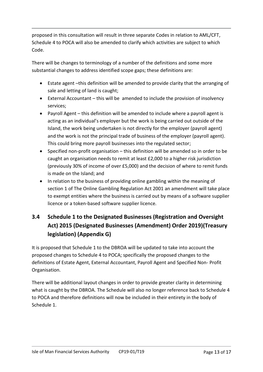proposed in this consultation will result in three separate Codes in relation to AML/CFT, Schedule 4 to POCA will also be amended to clarify which activities are subject to which Code.

There will be changes to terminology of a number of the definitions and some more substantial changes to address identified scope gaps; these definitions are:

- Estate agent –this definition will be amended to provide clarity that the arranging of sale and letting of land is caught;
- External Accountant this will be amended to include the provision of insolvency services;
- Payroll Agent this definition will be amended to include where a payroll agent is acting as an individual's employer but the work is being carried out outside of the Island, the work being undertaken is not directly for the employer (payroll agent) and the work is not the principal trade of business of the employer (payroll agent). This could bring more payroll businesses into the regulated sector;
- Specified non-profit organisation this definition will be amended so in order to be caught an organisation needs to remit at least £2,000 to a higher risk jurisdiction (previously 30% of income of over £5,000) and the decision of where to remit funds is made on the Island; and
- In relation to the business of providing online gambling within the meaning of section 1 of The Online Gambling Regulation Act 2001 an amendment will take place to exempt entities where the business is carried out by means of a software supplier licence or a token-based software supplier licence.

## **3.4 Schedule 1 to the Designated Businesses (Registration and Oversight Act) 2015 (Designated Businesses (Amendment) Order 2019)(Treasury legislation) (Appendix G)**

It is proposed that Schedule 1 to the DBROA will be updated to take into account the proposed changes to Schedule 4 to POCA; specifically the proposed changes to the definitions of Estate Agent, External Accountant, Payroll Agent and Specified Non- Profit Organisation.

There will be additional layout changes in order to provide greater clarity in determining what is caught by the DBROA. The Schedule will also no longer reference back to Schedule 4 to POCA and therefore definitions will now be included in their entirety in the body of Schedule 1.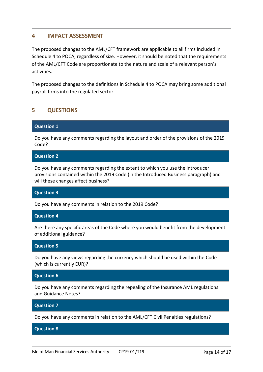#### **4 IMPACT ASSESSMENT**

The proposed changes to the AML/CFT framework are applicable to all firms included in Schedule 4 to POCA, regardless of size. However, it should be noted that the requirements of the AML/CFT Code are proportionate to the nature and scale of a relevant person's activities.

The proposed changes to the definitions in Schedule 4 to POCA may bring some additional payroll firms into the regulated sector.

#### **5 QUESTIONS**

#### **Question 1**

Do you have any comments regarding the layout and order of the provisions of the 2019 Code?

#### **Question 2**

Do you have any comments regarding the extent to which you use the introducer provisions contained within the 2019 Code (in the Introduced Business paragraph) and will these changes affect business?

#### **Question 3**

Do you have any comments in relation to the 2019 Code?

#### **Question 4**

Are there any specific areas of the Code where you would benefit from the development of additional guidance?

#### **Question 5**

Do you have any views regarding the currency which should be used within the Code (which is currently EUR)?

#### **Question 6**

Do you have any comments regarding the repealing of the Insurance AML regulations and Guidance Notes?

#### **Question 7**

Do you have any comments in relation to the AML/CFT Civil Penalties regulations?

#### **Question 8**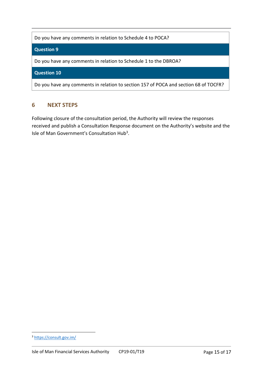Do you have any comments in relation to Schedule 4 to POCA?

#### **Question 9**

Do you have any comments in relation to Schedule 1 to the DBROA?

#### **Question 10**

Do you have any comments in relation to section 157 of POCA and section 68 of TOCFR?

#### **6 NEXT STEPS**

Following closure of the consultation period, the Authority will review the responses received and publish a Consultation Response document on the Authority's website and the Isle of Man Government's Consultation Hub<sup>3</sup>.

1

<sup>3</sup> <https://consult.gov.im/>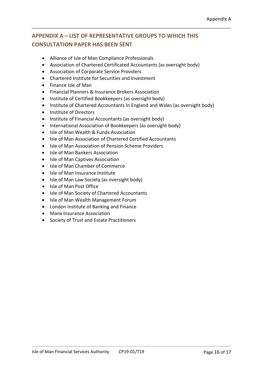## **APPENDIX A – LIST OF REPRESENTATIVE GROUPS TO WHICH THIS CONSULTATION PAPER HAS BEEN SENT**

- Alliance of Isle of Man Compliance Professionals
- Association of Chartered Certificated Accountants (as oversight body)
- Association of Corporate Service Providers
- Chartered Institute for Securities and Investment
- Finance Isle of Man
- Financial Planners & Insurance Brokers Association
- Institute of Certified Bookkeepers (as oversight body)
- Institute of Chartered Accountants In England and Wales (as oversight body)
- Institute of Directors
- Institute of Financial Accountants (as oversight body)
- International Association of Bookkeepers (as oversight body)
- Isle of Man Wealth & Funds Association
- Isle of Man Association of Chartered Certified Accountants
- Isle of Man Association of Pension Scheme Providers
- Isle of Man Bankers Association
- Isle of Man Captives Association
- Isle of Man Chamber of Commerce
- Isle of Man Insurance Institute
- Isle of Man Law Society (as oversight body)
- Isle of Man Post Office
- Isle of Man Society of Chartered Accountants
- Isle of Man Wealth Management Forum
- London Institute of Banking and Finance
- Manx Insurance Association
- Society of Trust and Estate Practitioners